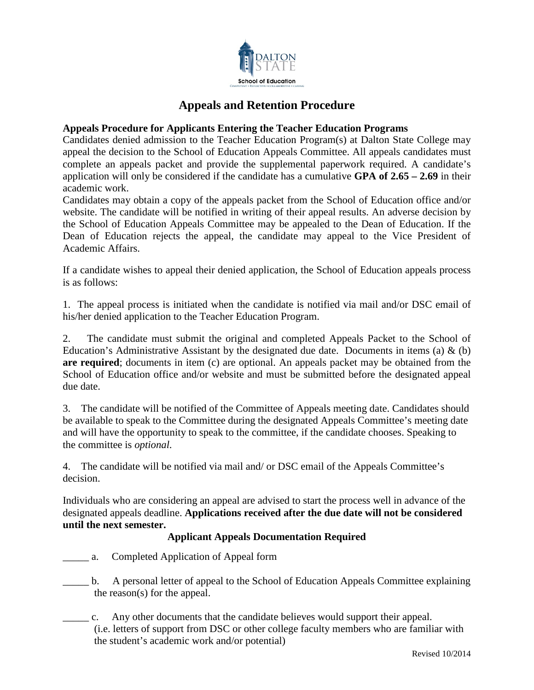

# **Appeals and Retention Procedure**

# **Appeals Procedure for Applicants Entering the Teacher Education Programs**

Candidates denied admission to the Teacher Education Program(s) at Dalton State College may appeal the decision to the School of Education Appeals Committee. All appeals candidates must complete an appeals packet and provide the supplemental paperwork required. A candidate's application will only be considered if the candidate has a cumulative **GPA of 2.65 – 2.69** in their academic work.

Candidates may obtain a copy of the appeals packet from the School of Education office and/or website. The candidate will be notified in writing of their appeal results. An adverse decision by the School of Education Appeals Committee may be appealed to the Dean of Education. If the Dean of Education rejects the appeal, the candidate may appeal to the Vice President of Academic Affairs.

If a candidate wishes to appeal their denied application, the School of Education appeals process is as follows:

1. The appeal process is initiated when the candidate is notified via mail and/or DSC email of his/her denied application to the Teacher Education Program.

2. The candidate must submit the original and completed Appeals Packet to the School of Education's Administrative Assistant by the designated due date. Documents in items (a)  $\&$  (b) **are required**; documents in item (c) are optional. An appeals packet may be obtained from the School of Education office and/or website and must be submitted before the designated appeal due date.

3. The candidate will be notified of the Committee of Appeals meeting date. Candidates should be available to speak to the Committee during the designated Appeals Committee's meeting date and will have the opportunity to speak to the committee, if the candidate chooses. Speaking to the committee is *optional*.

4. The candidate will be notified via mail and/ or DSC email of the Appeals Committee's decision.

Individuals who are considering an appeal are advised to start the process well in advance of the designated appeals deadline. **Applications received after the due date will not be considered until the next semester.** 

# **Applicant Appeals Documentation Required**

- \_\_\_\_\_ a. Completed Application of Appeal form
- \_\_\_\_\_ b. A personal letter of appeal to the School of Education Appeals Committee explaining the reason(s) for the appeal.
- \_\_\_\_\_ c. Any other documents that the candidate believes would support their appeal. (i.e. letters of support from DSC or other college faculty members who are familiar with the student's academic work and/or potential)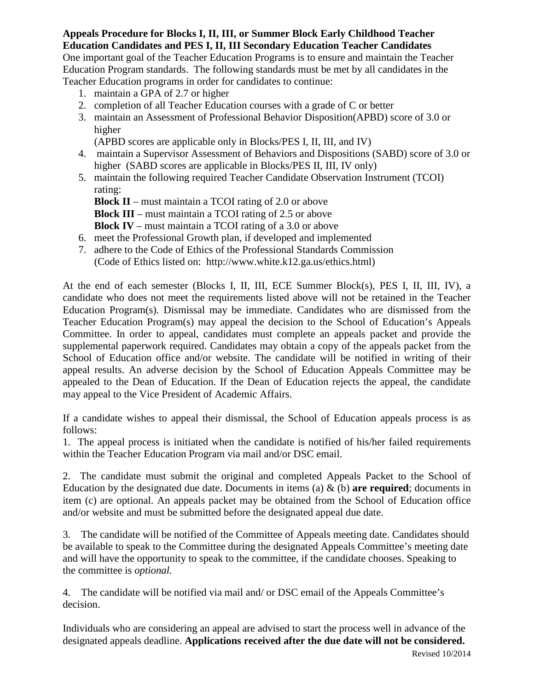#### **Appeals Procedure for Blocks I, II, III, or Summer Block Early Childhood Teacher Education Candidates and PES I, II, III Secondary Education Teacher Candidates**

One important goal of the Teacher Education Programs is to ensure and maintain the Teacher Education Program standards. The following standards must be met by all candidates in the Teacher Education programs in order for candidates to continue:

- 1. maintain a GPA of 2.7 or higher
- 2. completion of all Teacher Education courses with a grade of C or better
- 3. maintain an Assessment of Professional Behavior Disposition(APBD) score of 3.0 or higher

(APBD scores are applicable only in Blocks/PES I, II, III, and IV)

- 4. maintain a Supervisor Assessment of Behaviors and Dispositions (SABD) score of 3.0 or higher (SABD scores are applicable in Blocks/PES II, III, IV only)
- 5. maintain the following required Teacher Candidate Observation Instrument (TCOI) rating:

**Block II** – must maintain a TCOI rating of 2.0 or above **Block III** – must maintain a TCOI rating of 2.5 or above **Block IV** – must maintain a TCOI rating of a 3.0 or above

6. meet the Professional Growth plan, if developed and implemented

7. adhere to the Code of Ethics of the Professional Standards Commission (Code of Ethics listed on: http://www.white.k12.ga.us/ethics.html)

At the end of each semester (Blocks I, II, III, ECE Summer Block(s), PES I, II, III, IV), a candidate who does not meet the requirements listed above will not be retained in the Teacher Education Program(s). Dismissal may be immediate. Candidates who are dismissed from the Teacher Education Program(s) may appeal the decision to the School of Education's Appeals Committee. In order to appeal, candidates must complete an appeals packet and provide the supplemental paperwork required. Candidates may obtain a copy of the appeals packet from the School of Education office and/or website. The candidate will be notified in writing of their appeal results. An adverse decision by the School of Education Appeals Committee may be appealed to the Dean of Education. If the Dean of Education rejects the appeal, the candidate may appeal to the Vice President of Academic Affairs.

If a candidate wishes to appeal their dismissal, the School of Education appeals process is as follows:

1. The appeal process is initiated when the candidate is notified of his/her failed requirements within the Teacher Education Program via mail and/or DSC email.

2. The candidate must submit the original and completed Appeals Packet to the School of Education by the designated due date. Documents in items (a) & (b) **are required**; documents in item (c) are optional. An appeals packet may be obtained from the School of Education office and/or website and must be submitted before the designated appeal due date.

3. The candidate will be notified of the Committee of Appeals meeting date. Candidates should be available to speak to the Committee during the designated Appeals Committee's meeting date and will have the opportunity to speak to the committee, if the candidate chooses. Speaking to the committee is *optional*.

4. The candidate will be notified via mail and/ or DSC email of the Appeals Committee's decision.

Individuals who are considering an appeal are advised to start the process well in advance of the designated appeals deadline. **Applications received after the due date will not be considered.**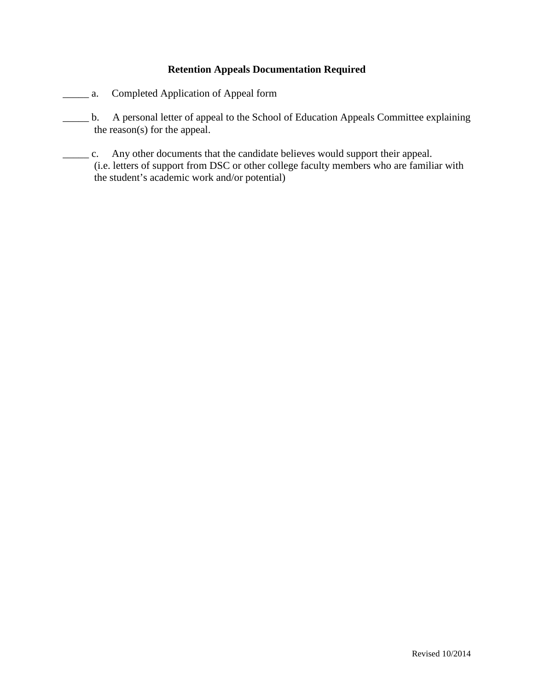# **Retention Appeals Documentation Required**

- \_\_\_\_\_ a. Completed Application of Appeal form
- \_\_\_\_\_ b. A personal letter of appeal to the School of Education Appeals Committee explaining the reason(s) for the appeal.
- \_\_\_\_\_ c. Any other documents that the candidate believes would support their appeal. (i.e. letters of support from DSC or other college faculty members who are familiar with the student's academic work and/or potential)